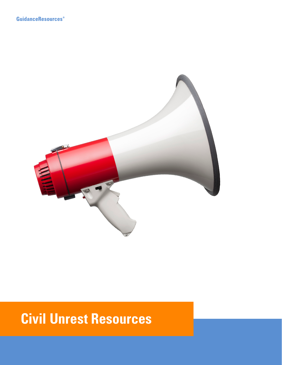

# **Civil Unrest Resources**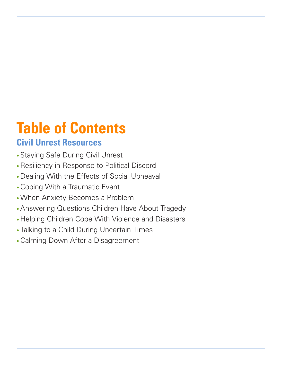# **Table of Contents**

# **Civil Unrest Resources**

- Staying Safe During Civil Unrest
- •Resiliency in Response to Political Discord
- Dealing With the Effects of Social Upheaval
- •Coping With a Traumatic Event
- •When Anxiety Becomes a Problem
- •Answering Questions Children Have About Tragedy
- Helping Children Cope With Violence and Disasters
- Talking to a Child During Uncertain Times
- •Calming Down After a Disagreement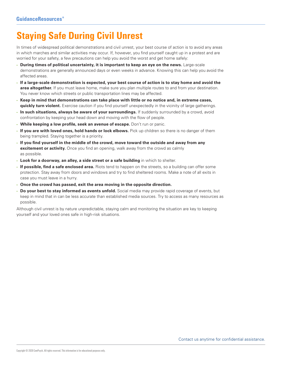# **Staying Safe During Civil Unrest**

In times of widespread political demonstrations and civil unrest, your best course of action is to avoid any areas in which marches and similar activities may occur. If, however, you find yourself caught up in a protest and are worried for your safety, a few precautions can help you avoid the worst and get home safely:

- **During times of political uncertainty, it is important to keep an eye on the news.** Large-scale demonstrations are generally announced days or even weeks in advance. Knowing this can help you avoid the affected areas.
- **If a large-scale demonstration is expected, your best course of action is to stay home and avoid the area altogether.** If you must leave home, make sure you plan multiple routes to and from your destination. You never know which streets or public transportation lines may be affected.
- **Keep in mind that demonstrations can take place with little or no notice and, in extreme cases, quickly turn violent.** Exercise caution if you find yourself unexpectedly in the vicinity of large gatherings.
- **In such situations, always be aware of your surroundings.** If suddenly surrounded by a crowd, avoid confrontation by keeping your head down and moving with the flow of people.
- **While keeping a low profile, seek an avenue of escape.** Don't run or panic.
- **If you are with loved ones, hold hands or lock elbows.** Pick up children so there is no danger of them being trampled. Staying together is a priority.
- **If you find yourself in the middle of the crowd, move toward the outside and away from any excitement or activity.** Once you find an opening, walk away from the crowd as calmly as possible.
- **Look for a doorway, an alley, a side street or a safe building** in which to shelter.
- **If possible, find a safe enclosed area.** Riots tend to happen on the streets, so a building can offer some protection. Stay away from doors and windows and try to find sheltered rooms. Make a note of all exits in case you must leave in a hurry.
- **Once the crowd has passed, exit the area moving in the opposite direction.**
- **Do your best to stay informed as events unfold.** Social media may provide rapid coverage of events, but keep in mind that in can be less accurate than established media sources. Try to access as many resources as possible.

Although civil unrest is by nature unpredictable, staying calm and monitoring the situation are key to keeping yourself and your loved ones safe in high-risk situations.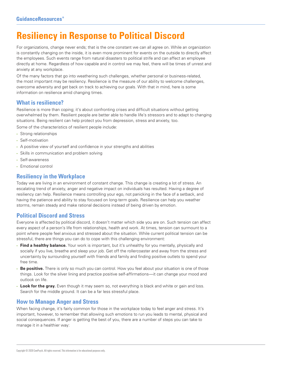# **Resiliency in Response to Political Discord**

For organizations, change never ends; that is the one constant we can all agree on. While an organization is constantly changing on the inside, it is even more prominent for events on the outside to directly affect the employees. Such events range from natural disasters to political strife and can affect an employee directly at home. Regardless of how capable and in control we may feel, there will be times of unrest and anxiety at any workplace.

Of the many factors that go into weathering such challenges, whether personal or business-related, the most important may be resiliency. Resilience is the measure of our ability to welcome challenges, overcome adversity and get back on track to achieving our goals. With that in mind, here is some information on resilience amid changing times.

# **What is resilience?**

Resilience is more than coping; it's about confronting crises and difficult situations without getting overwhelmed by them. Resilient people are better able to handle life's stressors and to adapt to changing situations. Being resilient can help protect you from depression, stress and anxiety, too. Some of the characteristics of resilient people include:

- Strong relationships
- Self-motivation
- A positive view of yourself and confidence in your strengths and abilities
- Skills in communication and problem solving
- Self-awareness
- Emotional control

### **Resiliency in the Workplace**

Today we are living in an environment of constant change. This change is creating a lot of stress. An escalating trend of anxiety, anger and negative impact on individuals has resulted. Having a degree of resiliency can help. Resilience means controlling your ego, not panicking in the face of a setback, and having the patience and ability to stay focused on long-term goals. Resilience can help you weather storms, remain steady and make rational decisions instead of being driven by emotion.

### **Political Discord and Stress**

Everyone is affected by political discord, it doesn't matter which side you are on. Such tension can affect every aspect of a person's life from relationships, health and work. At times, tension can surmount to a point where people feel anxious and stressed about the situation. While current political tension can be stressful, there are things you can do to cope with this challenging environment:

- **Find a healthy balance.** Your work is important, but it's unhealthy for you mentally, physically and socially if you live, breathe and sleep your job. Get off the rollercoaster and away from the stress and uncertainty by surrounding yourself with friends and family and finding positive outlets to spend your free time.
- **Be positive.** There is only so much you can control. How you feel about your situation is one of those things. Look for the silver lining and practice positive self-affirmations—it can change your mood and outlook on life.
- **Look for the gray.** Even though it may seem so, not everything is black and white or gain and loss. Search for the middle ground. It can be a far less stressful place.

### **How to Manage Anger and Stress**

When facing change, it's fairly common for those in the workplace today to feel anger and stress. It's important, however, to remember that allowing such emotions to run you leads to mental, physical and social consequences. If anger is getting the best of you, there are a number of steps you can take to manage it in a healthier way: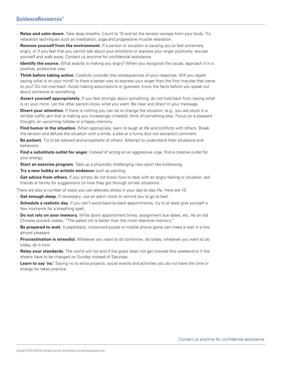- **Relax and calm down.** Take deep breaths. Count to 10 and let the tension escape from your body. Try relaxation techniques such as meditation, yoga and progressive muscle relaxation.
- **Remove yourself from the environment.** If a person or situation is causing you to feel extremely angry, or if you feel that you cannot talk about your emotions or express your anger positively, excuse yourself and walk away. Contact us anytime for confidential assistance.
- **Identify the source.** What exactly is making you angry? When you recognize the cause, approach it in a positive, productive way.
- **Think before taking action.** Carefully consider the consequences of your response. Will you regret saying what is on your mind? Is there a better way to express your anger than the first impulse that came to you? Do not overreact. Avoid making assumptions or guesses; know the facts before you speak out about someone or something.
- **Assert yourself appropriately.** If you feel strongly about something, do not hold back from saying what is on your mind. Let the other person know what you want. Be clear and direct in your message.
- **Divert your attention.** If there is nothing you can do to change the situation, (e.g., you are stuck in a terrible traffic jam that is making you increasingly irritated), think of something else. Focus on a pleasant thought, an upcoming holiday or a happy memory.
- **Find humor in the situation.** When appropriate, learn to laugh at life and conflicts with others. Break the tension and defuse the situation with a smile, a joke or a funny (but not sarcastic) comment.
- **Be patient.** Try to be tolerant and empathetic of others. Attempt to understand their situations and behaviors.
- **Find a substitute outlet for anger.** Instead of acting on an aggressive urge, find a creative outlet for your energy.
- **Start an exercise program.** Take up a physically challenging new sport like kickboxing.
- **Try a new hobby or artistic endeavor** such as painting.
- **Get advice from others.** If you simply do not know how to deal with an angry feeling or situation, ask friends or family for suggestions on how they got through similar situations.

There are also a number of ways you can alleviate stress in your day-to-day life. Here are 10:

- **Get enough sleep.** If necessary, use an alarm clock to remind you to go to bed.
- **Schedule a realistic day.** If you can't avoid back-to-back appointments, try to at least give yourself a few moments for a breathing spell.
- **Do not rely on your memory.** Write down appointment times, assignment due dates, etc. As an old Chinese proverb states, "The palest ink is better than the most retentive memory."
- **Be prepared to wait.** A paperback, crossword puzzle or mobile phone game can make a wait in a line almost pleasant.
- **Procrastination is stressful.** Whatever you want to do tomorrow, do today; whatever you want to do today, do it now.
- **Relax your standards.** The world will not end if the grass does not get mowed this weekend or if the sheets have to be changed on Sunday instead of Saturday.
- **Learn to say 'no.'** Saying no to extra projects, social events and activities you do not have the time or energy for takes practice.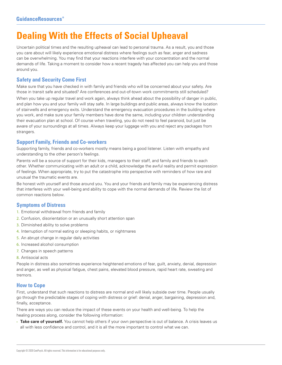# **Dealing With the Effects of Social Upheaval**

Uncertain political times and the resulting upheaval can lead to personal trauma. As a result, you and those you care about will likely experience emotional distress where feelings such as fear, anger and sadness can be overwhelming. You may find that your reactions interfere with your concentration and the normal demands of life. Taking a moment to consider how a recent tragedy has affected you can help you and those around you.

### **Safety and Security Come First**

Make sure that you have checked in with family and friends who will be concerned about your safety. Are those in transit safe and situated? Are conferences and out-of-town work commitments still scheduled?

When you take up regular travel and work again, always think ahead about the possibility of danger in public, and plan how you and your family will stay safe. In large buildings and public areas, always know the location of stairwells and emergency exits. Understand the emergency evacuation procedures in the building where you work, and make sure your family members have done the same, including your children understanding their evacuation plan at school. Of course when traveling, you do not need to feel paranoid, but just be aware of your surroundings at all times. Always keep your luggage with you and reject any packages from strangers.

### **Support Family, Friends and Co-workers**

Supporting family, friends and co-workers mostly means being a good listener. Listen with empathy and understanding to the other person's feelings.

Parents will be a source of support for their kids, managers to their staff, and family and friends to each other. Whether communicating with an adult or a child, acknowledge the awful reality and permit expression of feelings. When appropriate, try to put the catastrophe into perspective with reminders of how rare and unusual the traumatic events are.

Be honest with yourself and those around you. You and your friends and family may be experiencing distress that interferes with your well-being and ability to cope with the normal demands of life. Review the list of common reactions below.

### **Symptoms of Distress**

- 1. Emotional withdrawal from friends and family
- 2. Confusion, disorientation or an unusually short attention span
- 3. Diminished ability to solve problems
- 4. Interruption of normal eating or sleeping habits, or nightmares
- 5. An abrupt change in regular daily activities
- 6. Increased alcohol consumption
- 7. Changes in speech patterns
- 8. Antisocial acts

People in distress also sometimes experience heightened emotions of fear, guilt, anxiety, denial, depression and anger, as well as physical fatigue, chest pains, elevated blood pressure, rapid heart rate, sweating and tremors.

### **How to Cope**

First, understand that such reactions to distress are normal and will likely subside over time. People usually go through the predictable stages of coping with distress or grief: denial, anger, bargaining, depression and, finally, acceptance.

There are ways you can reduce the impact of these events on your health and well-being. To help the healing process along, consider the following information:

• **Take care of yourself.** You cannot help others if your own perspective is out of balance. A crisis leaves us all with less confidence and control, and it is all the more important to control what we can.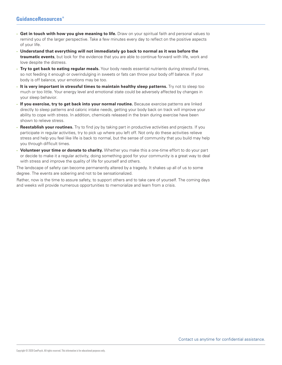- **Get in touch with how you give meaning to life.** Draw on your spiritual faith and personal values to remind you of the larger perspective. Take a few minutes every day to reflect on the positive aspects of your life.
- **Understand that everything will not immediately go back to normal as it was before the traumatic events**, but look for the evidence that you are able to continue forward with life, work and love despite the distress.
- **Try to get back to eating regular meals.** Your body needs essential nutrients during stressful times, so not feeding it enough or overindulging in sweets or fats can throw your body off balance. If your body is off balance, your emotions may be too.
- **It is very important in stressful times to maintain healthy sleep patterns.** Try not to sleep too much or too little. Your energy level and emotional state could be adversely affected by changes in your sleep behavior.
- **If you exercise, try to get back into your normal routine.** Because exercise patterns are linked directly to sleep patterns and caloric intake needs, getting your body back on track will improve your ability to cope with stress. In addition, chemicals released in the brain during exercise have been shown to relieve stress.
- **Reestablish your routines.** Try to find joy by taking part in productive activities and projects. If you participate in regular activities, try to pick up where you left off. Not only do these activities relieve stress and help you feel like life is back to normal, but the sense of community that you build may help you through difficult times.
- **Volunteer your time or donate to charity.** Whether you make this a one-time effort to do your part or decide to make it a regular activity, doing something good for your community is a great way to deal with stress and improve the quality of life for yourself and others.

The landscape of safety can become permanently altered by a tragedy. It shakes up all of us to some degree. The events are sobering and not to be sensationalized.

Rather, now is the time to assure safety, to support others and to take care of yourself. The coming days and weeks will provide numerous opportunities to memorialize and learn from a crisis.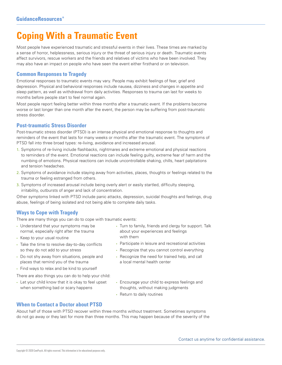# **Coping With a Traumatic Event**

Most people have experienced traumatic and stressful events in their lives. These times are marked by a sense of horror, helplessness, serious injury or the threat of serious injury or death. Traumatic events affect survivors, rescue workers and the friends and relatives of victims who have been involved. They may also have an impact on people who have seen the event either firsthand or on television.

### **Common Responses to Tragedy**

Emotional responses to traumatic events may vary. People may exhibit feelings of fear, grief and depression. Physical and behavioral responses include nausea, dizziness and changes in appetite and sleep pattern, as well as withdrawal from daily activities. Responses to trauma can last for weeks to months before people start to feel normal again.

Most people report feeling better within three months after a traumatic event. If the problems become worse or last longer than one month after the event, the person may be suffering from post-traumatic stress disorder.

# **Post-traumatic Stress Disorder**

Post-traumatic stress disorder (PTSD) is an intense physical and emotional response to thoughts and reminders of the event that lasts for many weeks or months after the traumatic event. The symptoms of PTSD fall into three broad types: re-living, avoidance and increased arousal.

- 1. Symptoms of re-living include flashbacks, nightmares and extreme emotional and physical reactions to reminders of the event. Emotional reactions can include feeling guilty, extreme fear of harm and the numbing of emotions. Physical reactions can include uncontrollable shaking, chills, heart palpitations and tension headaches.
- 2. Symptoms of avoidance include staying away from activities, places, thoughts or feelings related to the trauma or feeling estranged from others.
- 3. Symptoms of increased arousal include being overly alert or easily startled, difficulty sleeping, irritability, outbursts of anger and lack of concentration.

Other symptoms linked with PTSD include panic attacks, depression, suicidal thoughts and feelings, drug abuse, feelings of being isolated and not being able to complete daily tasks.

# **Ways to Cope with Tragedy**

There are many things you can do to cope with traumatic events:

- Understand that your symptoms may be normal, especially right after the trauma
- Keep to your usual routine
- Take the time to resolve day-to-day conflicts so they do not add to your stress
- Do not shy away from situations, people and places that remind you of the trauma
- Find ways to relax and be kind to yourself

There are also things you can do to help your child:

• Let your child know that it is okay to feel upset when something bad or scary happens

- Turn to family, friends and clergy for support. Talk about your experiences and feelings with them
- Participate in leisure and recreational activities
- Recognize that you cannot control everything
- Recognize the need for trained help, and call a local mental health center
- Encourage your child to express feelings and thoughts, without making judgments
- Return to daily routines

### **When to Contact a Doctor about PTSD**

About half of those with PTSD recover within three months without treatment. Sometimes symptoms do not go away or they last for more than three months. This may happen because of the severity of the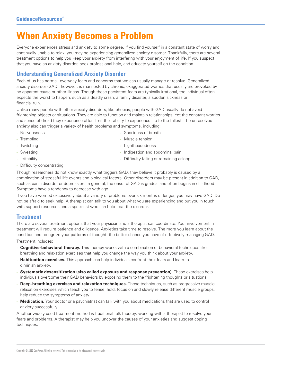# **When Anxiety Becomes a Problem**

Everyone experiences stress and anxiety to some degree. If you find yourself in a constant state of worry and continually unable to relax, you may be experiencing generalized anxiety disorder. Thankfully, there are several treatment options to help you keep your anxiety from interfering with your enjoyment of life. If you suspect that you have an anxiety disorder, seek professional help, and educate yourself on the condition.

# **Understanding Generalized Anxiety Disorder**

Each of us has normal, everyday fears and concerns that we can usually manage or resolve. Generalized anxiety disorder (GAD), however, is manifested by chronic, exaggerated worries that usually are provoked by no apparent cause or other illness. Though these persistent fears are typically irrational, the individual often expects the worst to happen, such as a deadly crash, a family disaster, a sudden sickness or financial ruin.

Unlike many people with other anxiety disorders, like phobias, people with GAD usually do not avoid frightening objects or situations. They are able to function and maintain relationships. Yet the constant worries and sense of dread they experience often limit their ability to experience life to the fullest. The unresolved anxiety also can trigger a variety of health problems and symptoms, including:

• Nervousness

• Shortness of breath

• Indigestion and abdominal pain • Difficulty falling or remaining asleep

- Trembling
- Twitching
- Muscle tension
- Lightheadedness

- Sweating
- Irritability
- Difficulty concentrating

Though researchers do not know exactly what triggers GAD, they believe it probably is caused by a combination of stressful life events and biological factors. Other disorders may be present in addition to GAD, such as panic disorder or depression. In general, the onset of GAD is gradual and often begins in childhood. Symptoms have a tendency to decrease with age.

If you have worried excessively about a variety of problems over six months or longer, you may have GAD. Do not be afraid to seek help. A therapist can talk to you about what you are experiencing and put you in touch with support resources and a specialist who can help treat the disorder.

# **Treatment**

There are several treatment options that your physician and a therapist can coordinate. Your involvement in treatment will require patience and diligence. Anxieties take time to resolve. The more you learn about the condition and recognize your patterns of thought, the better chance you have of effectively managing GAD. Treatment includes:

- **Cognitive-behavioral therapy.** This therapy works with a combination of behavioral techniques like breathing and relaxation exercises that help you change the way you think about your anxiety.
- **Habituation exercises.** This approach can help individuals confront their fears and learn to diminish anxiety.
- **Systematic desensitization (also called exposure and response prevention).** These exercises help individuals overcome their GAD behaviors by exposing them to the frightening thoughts or situations.
- **Deep-breathing exercises and relaxation techniques.** These techniques, such as progressive muscle relaxation exercises which teach you to tense, hold, focus on and slowly release different muscle groups, help reduce the symptoms of anxiety.
- **Medication.** Your doctor or a psychiatrist can talk with you about medications that are used to control anxiety successfully.

Another widely used treatment method is traditional talk therapy: working with a therapist to resolve your fears and problems. A therapist may help you uncover the causes of your anxieties and suggest coping techniques.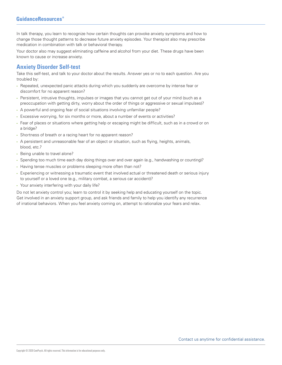In talk therapy, you learn to recognize how certain thoughts can provoke anxiety symptoms and how to change those thought patterns to decrease future anxiety episodes. Your therapist also may prescribe medication in combination with talk or behavioral therapy.

Your doctor also may suggest eliminating caffeine and alcohol from your diet. These drugs have been known to cause or increase anxiety.

# **Anxiety Disorder Self-test**

Take this self-test, and talk to your doctor about the results. Answer yes or no to each question. Are you troubled by:

- Repeated, unexpected panic attacks during which you suddenly are overcome by intense fear or discomfort for no apparent reason?
- Persistent, intrusive thoughts, impulses or images that you cannot get out of your mind (such as a preoccupation with getting dirty, worry about the order of things or aggressive or sexual impulses)?
- A powerful and ongoing fear of social situations involving unfamiliar people?
- Excessive worrying, for six months or more, about a number of events or activities?
- Fear of places or situations where getting help or escaping might be difficult, such as in a crowd or on a bridge?
- Shortness of breath or a racing heart for no apparent reason?
- A persistent and unreasonable fear of an object or situation, such as flying, heights, animals, blood, etc.?
- Being unable to travel alone?
- Spending too much time each day doing things over and over again (e.g., handwashing or counting)?
- Having tense muscles or problems sleeping more often than not?
- Experiencing or witnessing a traumatic event that involved actual or threatened death or serious injury to yourself or a loved one (e.g., military combat, a serious car accident)?
- Your anxiety interfering with your daily life?

Do not let anxiety control you; learn to control it by seeking help and educating yourself on the topic. Get involved in an anxiety support group, and ask friends and family to help you identify any recurrence of irrational behaviors. When you feel anxiety coming on, attempt to rationalize your fears and relax.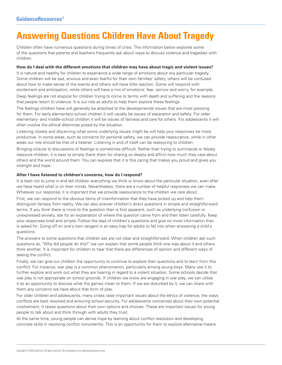# **Answering Questions Children Have About Tragedy**

Children often have numerous questions during times of crisis. The information below explores some of the questions that parents and teachers frequently ask about ways to discuss violence and tragedies with children.

#### **How do I deal with the different emotions that children may have about tragic and violent issues?**

It is natural and healthy for children to experience a wide range of emotions about any particular tragedy. Some children will be sad, anxious and even fearful for their own families' safety, others will be confused about how to make sense of the events and others will have little reaction. Some will respond with excitement and anticipation, while others will have a mix of emotions: fear, sorrow and worry, for example.

Deep feelings are not atypical for children trying to come to terms with death and suffering and the reasons that people resort to violence. It is our role as adults to help them explore these feelings.

The feelings children have will generally be attached to the developmental issues that are most pressing for them. For early elementary-school children it will usually be issues of separation and safety. For older elementary- and middle-school children it will be issues of fairness and care for others. For adolescents it will often involve the ethical dilemmas posed by the situation.

Listening closely and discerning what some underlying issues might be will help your responses be more productive. In some areas, such as concerns for personal safety, we can provide reassurance, while in other areas our role should be that of a listener. Listening in and of itself can be reassuring to children.

Bringing closure to discussions of feelings is sometimes difficult. Rather than trying to summarize or falsely reassure children, it is best to simply thank them for sharing so deeply and affirm how much they care about others and the world around them. You can express that it is this caring that makes you proud and gives you strength and hope.

#### **After I have listened to children's concerns, how do I respond?**

It is best not to jump in and tell children everything we think or know about the particular situation, even after we have heard what is on their minds. Nevertheless, there are a number of helpful responses we can make. Whatever our response, it is important that we provide reassurance to the children we care about.

First, we can respond to the obvious items of misinformation that they have picked up and help them distinguish fantasy from reality. We can also answer children's direct questions in simple and straightforward terms. If you think there is more to the question than is first apparent, such as underlying confusion or unexpressed anxiety, ask for an explanation of where the question came from and then listen carefully. Keep your responses brief and simple. Follow the lead of children's questions and give no more information than is asked for. Going off on one's own tangent is an easy trap for adults to fall into when answering a child's questions.

The answers to some questions that children ask are not clear and straightforward. When children ask such questions as, "Why did people do this?" we can explain that some people think one way about it and others think another. It is important for children to hear that there are differences of opinion and different ways of seeing the conflict.

Finally, we can give our children the opportunity to continue to explore their questions and to learn from this conflict. For instance, war play is a common phenomenon, particularly among young boys. Many use it to further explore and work out what they are hearing in regard to a violent situation. Some schools decide that war play is not appropriate on school grounds. If children we know are engaging in war play, we can utilize it as an opportunity to discuss what the games mean to them. If we are disturbed by it, we can share with them any concerns we have about that form of play.

For older children and adolescents, many crises raise important issues about the ethics of violence, the ways conflicts are best resolved and ensuring school security. For adolescents concerned about their own potential involvement, it raises questions about their own options and choices. These are important issues for young people to talk about and think through with adults they trust.

At the same time, young people can derive hope by learning about conflict resolution and developing concrete skills in resolving conflict nonviolently. This is an opportunity for them to explore alternative means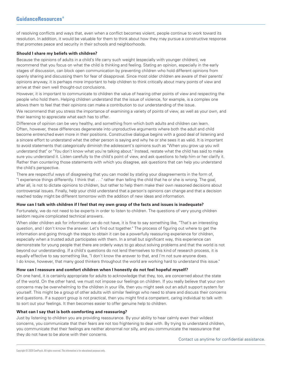of resolving conflicts and ways that, even when a conflict becomes violent, people continue to work toward its resolution. In addition, it would be valuable for them to think about how they may pursue a constructive response that promotes peace and security in their schools and neighborhoods.

#### **Should I share my beliefs with children?**

Because the opinions of adults in a child's life carry such weight (especially with younger children), we recommend that you focus on what the child is thinking and feeling. Stating an opinion, especially in the early stages of discussion, can block open communication by preventing children who hold different opinions from openly sharing and discussing them for fear of disapproval. Since most older children are aware of their parents' opinions anyway, it is perhaps more important to help children to think critically about many points of view and arrive at their own well thought-out conclusions.

However, it is important to communicate to children the value of hearing other points of view and respecting the people who hold them. Helping children understand that the issue of violence, for example, is a complex one allows them to feel that their opinions can make a contribution to our understanding of the issue.

We recommend that you stress the importance of examining a variety of points of view, as well as your own, and their learning to appreciate what each has to offer.

Difference of opinion can be very healthy, and something from which both adults and children can learn. Often, however, these differences degenerate into unproductive arguments where both the adult and child become entrenched even more in their positions. Constructive dialogue begins with a good deal of listening and a sincere effort to understand what the other person is saying and why he or she sees it as valid. It is important to avoid statements that categorically diminish the adolescent's opinions such as "When you grow up you will understand that" or "You don't know what you're talking about." Instead, restate what the child has said to make sure you understand it. Listen carefully to the child's point of view, and ask questions to help him or her clarify it. Rather than countering those statements with which you disagree, ask questions that can help you understand the child's perspective.

There are respectful ways of disagreeing that you can model by stating your disagreements in the form of, "I experience things differently. I think that . . ." rather than telling the child that he or she is wrong. The goal, after all, is not to dictate opinions to children, but rather to help them make their own reasoned decisions about controversial issues. Finally, help your child understand that a person's opinions can change and that a decision reached today might be different tomorrow with the addition of new ideas and information.

#### **How can I talk with children if I feel that my own grasp of the facts and issues is inadequate?**

Fortunately, we do not need to be experts in order to listen to children. The questions of very young children seldom require complicated technical answers.

When older children ask for information we do not have, it is fine to say something like, "That's an interesting question, and I don't know the answer. Let's find out together." The process of figuring out where to get the information and going through the steps to obtain it can be a powerfully reassuring experience for children, especially when a trusted adult participates with them. In a small but significant way, this experience can demonstrate for young people that there are orderly ways to go about solving problems and that the world is not beyond our understanding. If a child's questions do not lend themselves to this kind of research process, it is equally effective to say something like, "I don't know the answer to that, and I'm not sure anyone does. I do know, however, that many good thinkers throughout the world are working hard to understand this issue."

#### **How can I reassure and comfort children when I honestly do not feel hopeful myself?**

On one hand, it is certainly appropriate for adults to acknowledge that they, too, are concerned about the state of the world. On the other hand, we must not impose our feelings on children. If you really believe that your own concerns may be overwhelming to the children in your life, then you might seek out an adult support system for yourself. This might be a group of other adults with similar feelings who need to share and discuss their concerns and questions. If a support group is not practical, then you might find a competent, caring individual to talk with to sort out your feelings. It then becomes easier to offer genuine help to children.

#### **What can I say that is both comforting and reassuring?**

Just by listening to children you are providing reassurance. By your ability to hear calmly even their wildest concerns, you communicate that their fears are not too frightening to deal with. By trying to understand children, you communicate that their feelings are neither abnormal nor silly, and you communicate the reassurance that they do not have to be alone with their concerns.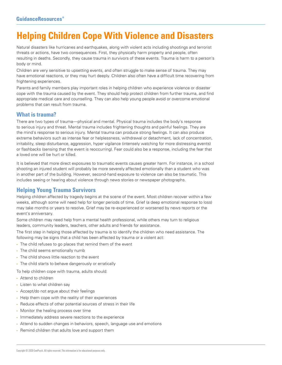# **Helping Children Cope With Violence and Disasters**

Natural disasters like hurricanes and earthquakes, along with violent acts including shootings and terrorist threats or actions, have two consequences. First, they physically harm property and people, often resulting in deaths. Secondly, they cause trauma in survivors of these events. Trauma is harm to a person's body or mind.

Children are very sensitive to upsetting events, and often struggle to make sense of trauma. They may have emotional reactions, or they may hurt deeply. Children also often have a difficult time recovering from frightening experiences.

Parents and family members play important roles in helping children who experience violence or disaster cope with the trauma caused by the event. They should help protect children from further trauma, and find appropriate medical care and counselling. They can also help young people avoid or overcome emotional problems that can result from trauma.

# **What is trauma?**

There are two types of trauma—physical and mental. Physical trauma includes the body's response to serious injury and threat. Mental trauma includes frightening thoughts and painful feelings. They are the mind's response to serious injury. Mental trauma can produce strong feelings. It can also produce extreme behaviors such as intense fear or helplessness, withdrawal or detachment, lack of concentration, irritability, sleep disturbance, aggression, hyper vigilance (intensely watching for more distressing events) or flashbacks (sensing that the event is reoccurring). Fear could also be a response, including the fear that a loved one will be hurt or killed.

It is believed that more direct exposures to traumatic events causes greater harm. For instance, in a school shooting an injured student will probably be more severely affected emotionally than a student who was in another part of the building. However, second-hand exposure to violence can also be traumatic. This includes seeing or hearing about violence through news stories or newspaper photographs.

# **Helping Young Trauma Survivors**

Helping children affected by tragedy begins at the scene of the event. Most children recover within a few weeks, although some will need help for longer periods of time. Grief (a deep emotional response to loss) may take months or years to resolve. Grief may be re-experienced or worsened by news reports or the event's anniversary.

Some children may need help from a mental health professional, while others may turn to religious leaders, community leaders, teachers, other adults and friends for assistance.

The first step in helping those affected by trauma is to identify the children who need assistance. The following may be signs that a child has been affected by trauma or a violent act:

- The child refuses to go places that remind them of the event
- The child seems emotionally numb
- The child shows little reaction to the event
- The child starts to behave dangerously or erratically

To help children cope with trauma, adults should:

- Attend to children
- Listen to what children say
- Accept/do not argue about their feelings
- Help them cope with the reality of their experiences
- Reduce effects of other potential sources of stress in their life
- Monitor the healing process over time
- Immediately address severe reactions to the experience
- Attend to sudden changes in behaviors, speech, language use and emotions
- Remind children that adults love and support them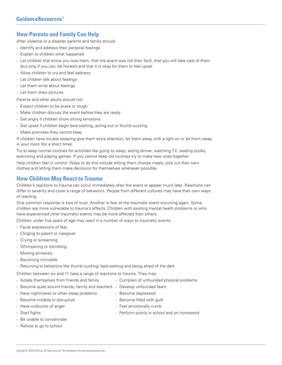# **How Parents and Family Can Help**

After violence or a disaster parents and family should:

- Identify and address their personal feelings
- Explain to children what happened
- Let children that know you love them, that the event was not their fault, that you will take care of them (but only if you can; be honest) and that it is okay for them to feel upset
- Allow children to cry and feel sadness
- Let children talk about feelings
- Let them write about feelings
- Let them draw pictures

Parents and other adults should not:

- Expect children to be brave or tough
- Make children discuss the event before they are ready
- Get angry if children show strong emotions
- Get upset if children begin bed-wetting, acting out or thumb-sucking
- Make promises they cannot keep

If children have trouble sleeping give them extra attention, let them sleep with a light on or let them sleep in your room (for a short time).

Try to keep normal routines for activities like going to sleep, eating dinner, watching TV, reading books, exercising and playing games. If you cannot keep old routines try to make new ones together.

Help children feel in control. Ways to do this include letting them choose meals, pick out their own clothes and letting them make decisions for themselves whenever possible.

# **How Children May React to Trauma**

Children's reactions to trauma can occur immediately after the event or appear much later. Reactions can differ in severity and cover a range of behaviors. People from different cultures may have their own ways of reacting.

One common response is loss of trust. Another is fear of the traumatic event occurring again. Some children are more vulnerable to trauma's effects. Children with existing mental health problems or who have experienced other traumatic events may be more affected than others.

Children under five years of age may react in a number of ways to traumatic events:

- Facial expressions of fear
- Clinging to parent or caregiver
- Crying or screaming
- Whimpering or trembling
- Moving aimlessly
- Becoming immobile

• Returning to behaviors like thumb-sucking, bed-wetting and being afraid of the dark

Children between six and 11 have a range of reactions to trauma. They may:

- Isolate themselves from friends and family
- Become quiet around friends, family and teachers Develop unfounded fears
- Have nightmares or other sleep problems
- Become irritable or disruptive
- Have outbursts of anger
- Start fights
- Be unable to concentrate
- Refuse to go to school
- Complain of unfounded physical problems
	-
- Become depressed
- Become filled with guilt
- Feel emotionally numb
- Perform poorly in school and on homework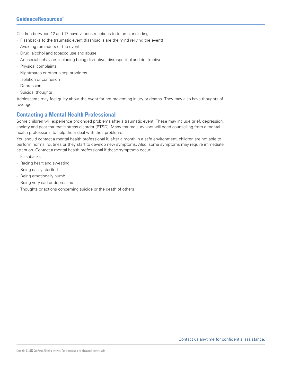Children between 12 and 17 have various reactions to trauma, including:

- Flashbacks to the traumatic event (flashbacks are the mind reliving the event)
- Avoiding reminders of the event
- Drug, alcohol and tobacco use and abuse
- Antisocial behaviors including being disruptive, disrespectful and destructive
- Physical complaints
- Nightmares or other sleep problems
- Isolation or confusion
- Depression
- Suicidal thoughts

Adolescents may feel guilty about the event for not preventing injury or deaths. They may also have thoughts of revenge.

### **Contacting a Mental Health Professional**

Some children will experience prolonged problems after a traumatic event. These may include grief, depression, anxiety and post-traumatic stress disorder (PTSD). Many trauma survivors will need counselling from a mental health professional to help them deal with their problems.

You should contact a mental health professional if, after a month in a safe environment, children are not able to perform normal routines or they start to develop new symptoms. Also, some symptoms may require immediate attention. Contact a mental health professional if these symptoms occur:

- Flashbacks
- Racing heart and sweating
- Being easily startled
- Being emotionally numb
- Being very sad or depressed
- Thoughts or actions concerning suicide or the death of others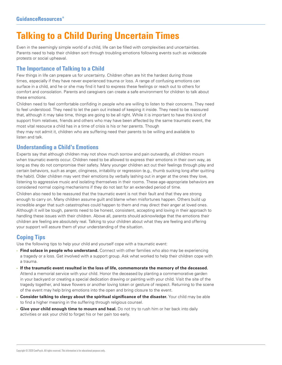# **Talking to a Child During Uncertain Times**

Even in the seemingly simple world of a child, life can be filled with complexities and uncertainties. Parents need to help their children sort through troubling emotions following events such as widescale protests or social upheaval.

# **The Importance of Talking to a Child**

Few things in life can prepare us for uncertainty. Children often are hit the hardest during those times, especially if they have never experienced trauma or loss. A range of confusing emotions can surface in a child, and he or she may find it hard to express these feelings or reach out to others for comfort and consolation. Parents and caregivers can create a safe environment for children to talk about these emotions.

Children need to feel comfortable confiding in people who are willing to listen to their concerns. They need to feel understood. They need to let the pain out instead of keeping it inside. They need to be reassured that, although it may take time, things are going to be all right. While it is important to have this kind of support from relatives, friends and others who may have been affected by the same traumatic event, the most vital resource a child has in a time of crisis is his or her parents. Though

they may not admit it, children who are suffering need their parents to be willing and available to listen and talk.

### **Understanding a Child's Emotions**

Experts say that although children may not show much sorrow and pain outwardly, all children mourn when traumatic events occur. Children need to be allowed to express their emotions in their own way, as long as they do not compromise their safety. Many younger children act out their feelings through play and certain behaviors, such as anger, clinginess, irritability or regression (e.g., thumb sucking long after quitting the habit). Older children may vent their emotions by verbally lashing out in anger at the ones they love, listening to aggressive music and isolating themselves in their rooms. These age-appropriate behaviors are considered normal coping mechanisms if they do not last for an extended period of time.

Children also need to be reassured that the traumatic event is not their fault and that they are strong enough to carry on. Many children assume guilt and blame when misfortunes happen. Others build up incredible anger that such catastrophes could happen to them and may direct their anger at loved ones. Although it will be tough, parents need to be honest, consistent, accepting and loving in their approach to handling these issues with their children. Above all, parents should acknowledge that the emotions their children are feeling are absolutely real. Talking to your children about what they are feeling and offering your support will assure them of your understanding of the situation.

# **Coping Tips**

Use the following tips to help your child and yourself cope with a traumatic event:

- **Find solace in people who understand.** Connect with other families who also may be experiencing a tragedy or a loss. Get involved with a support group. Ask what worked to help their children cope with a trauma.
- **If the traumatic event resulted in the loss of life, commemorate the memory of the deceased.** Attend a memorial service with your child. Honor the deceased by planting a commemorative garden in your backyard or creating a special dedication drawing or painting with your child. Visit the site of the tragedy together, and leave flowers or another loving token or gesture of respect. Returning to the scene of the event may help bring emotions into the open and bring closure to the event.
- **Consider talking to clergy about the spiritual significance of the disaster.** Your child may be able to find a higher meaning in the suffering through religious counsel.
- **Give your child enough time to mourn and heal.** Do not try to rush him or her back into daily activities or ask your child to forget his or her pain too early.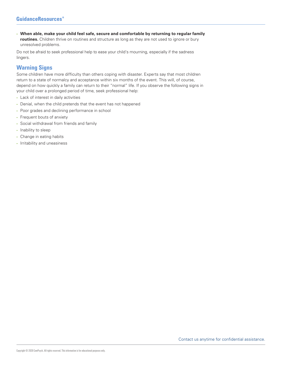• **When able, make your child feel safe, secure and comfortable by returning to regular family routines.** Children thrive on routines and structure as long as they are not used to ignore or bury unresolved problems.

Do not be afraid to seek professional help to ease your child's mourning, especially if the sadness lingers.

# **Warning Signs**

Some children have more difficulty than others coping with disaster. Experts say that most children return to a state of normalcy and acceptance within six months of the event. This will, of course, depend on how quickly a family can return to their "normal" life. If you observe the following signs in your child over a prolonged period of time, seek professional help:

- Lack of interest in daily activities
- Denial, when the child pretends that the event has not happened
- Poor grades and declining performance in school
- Frequent bouts of anxiety
- Social withdrawal from friends and family
- Inability to sleep
- Change in eating habits
- Irritability and uneasiness